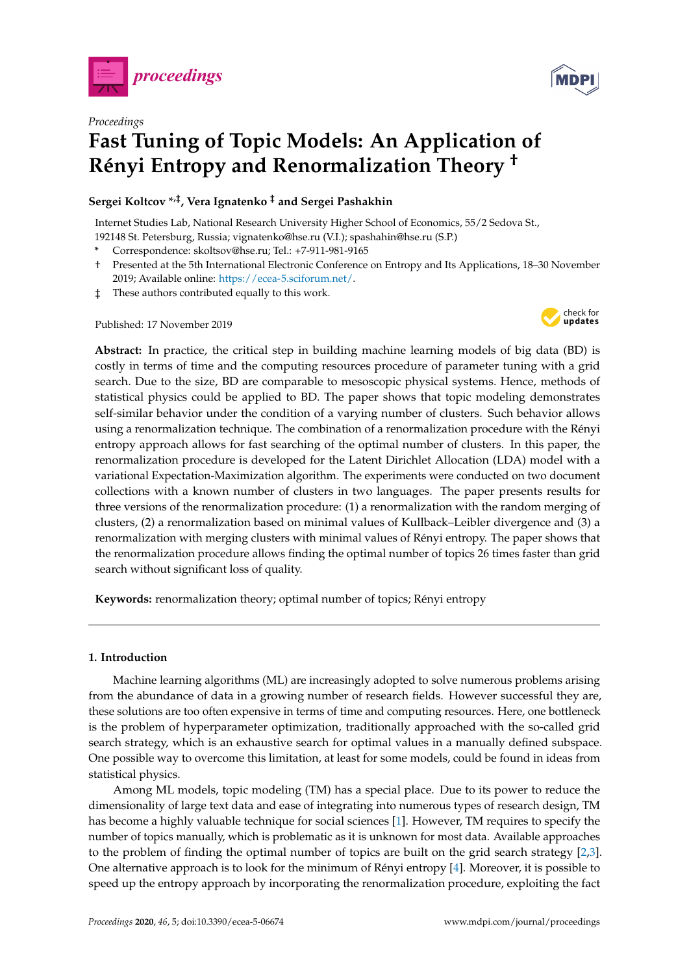



# *Proceedings* **Fast Tuning of Topic Models: An Application of Rényi Entropy and Renormalization Theory †**

# **Sergei Koltcov \*,‡, Vera Ignatenko ‡ and Sergei Pashakhin**

Internet Studies Lab, National Research University Higher School of Economics, 55/2 Sedova St., 192148 St. Petersburg, Russia; vignatenko@hse.ru (V.I.); spashahin@hse.ru (S.P.)

- **\*** Correspondence: skoltsov@hse.ru; Tel.: +7-911-981-9165
- † Presented at the 5th International Electronic Conference on Entropy and Its Applications, 18–30 November 2019; Available online: [https://ecea-5.sciforum.net/.](https://ecea-5.sciforum.net/)
- ‡ These authors contributed equally to this work.

Published: 17 November 2019



**Abstract:** In practice, the critical step in building machine learning models of big data (BD) is costly in terms of time and the computing resources procedure of parameter tuning with a grid search. Due to the size, BD are comparable to mesoscopic physical systems. Hence, methods of statistical physics could be applied to BD. The paper shows that topic modeling demonstrates self-similar behavior under the condition of a varying number of clusters. Such behavior allows using a renormalization technique. The combination of a renormalization procedure with the Rényi entropy approach allows for fast searching of the optimal number of clusters. In this paper, the renormalization procedure is developed for the Latent Dirichlet Allocation (LDA) model with a variational Expectation-Maximization algorithm. The experiments were conducted on two document collections with a known number of clusters in two languages. The paper presents results for three versions of the renormalization procedure: (1) a renormalization with the random merging of clusters, (2) a renormalization based on minimal values of Kullback–Leibler divergence and (3) a renormalization with merging clusters with minimal values of Rényi entropy. The paper shows that the renormalization procedure allows finding the optimal number of topics 26 times faster than grid search without significant loss of quality.

**Keywords:** renormalization theory; optimal number of topics; Rényi entropy

## **1. Introduction**

Machine learning algorithms (ML) are increasingly adopted to solve numerous problems arising from the abundance of data in a growing number of research fields. However successful they are, these solutions are too often expensive in terms of time and computing resources. Here, one bottleneck is the problem of hyperparameter optimization, traditionally approached with the so-called grid search strategy, which is an exhaustive search for optimal values in a manually defined subspace. One possible way to overcome this limitation, at least for some models, could be found in ideas from statistical physics.

Among ML models, topic modeling (TM) has a special place. Due to its power to reduce the dimensionality of large text data and ease of integrating into numerous types of research design, TM has become a highly valuable technique for social sciences [\[1\]](#page-7-0). However, TM requires to specify the number of topics manually, which is problematic as it is unknown for most data. Available approaches to the problem of finding the optimal number of topics are built on the grid search strategy [\[2,](#page-7-1)[3\]](#page-7-2). One alternative approach is to look for the minimum of Rényi entropy [\[4\]](#page-7-3). Moreover, it is possible to speed up the entropy approach by incorporating the renormalization procedure, exploiting the fact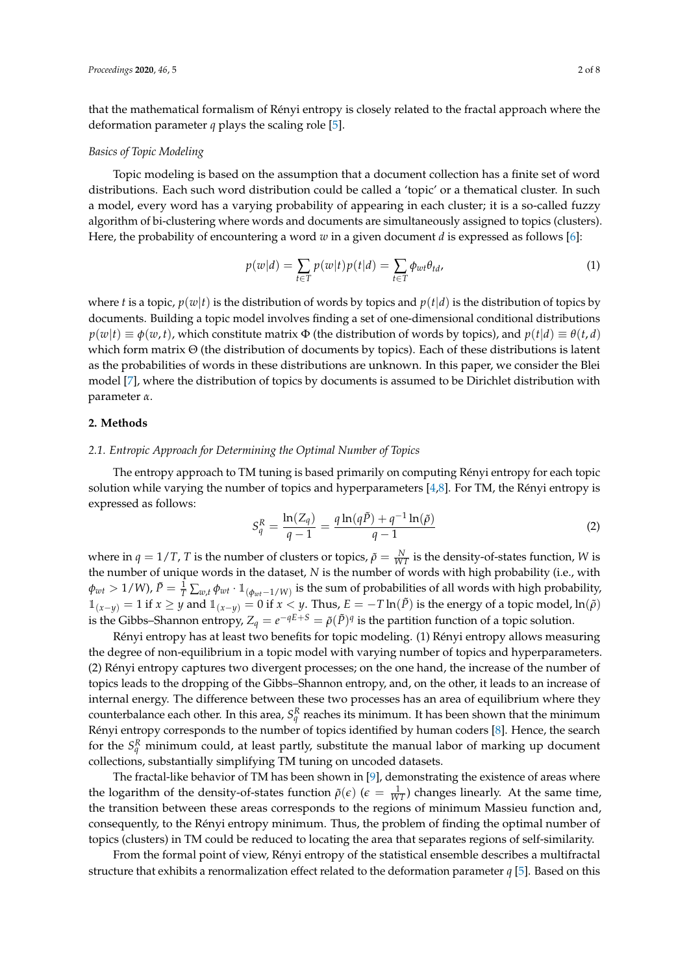that the mathematical formalism of Rényi entropy is closely related to the fractal approach where the deformation parameter *q* plays the scaling role [\[5\]](#page-7-4).

#### *Basics of Topic Modeling*

Topic modeling is based on the assumption that a document collection has a finite set of word distributions. Each such word distribution could be called a 'topic' or a thematical cluster. In such a model, every word has a varying probability of appearing in each cluster; it is a so-called fuzzy algorithm of bi-clustering where words and documents are simultaneously assigned to topics (clusters). Here, the probability of encountering a word *w* in a given document *d* is expressed as follows [\[6\]](#page-7-5):

$$
p(w|d) = \sum_{t \in T} p(w|t) p(t|d) = \sum_{t \in T} \phi_{wt} \theta_{td},
$$
\n(1)

where *t* is a topic,  $p(w|t)$  is the distribution of words by topics and  $p(t|d)$  is the distribution of topics by documents. Building a topic model involves finding a set of one-dimensional conditional distributions  $p(w|t) \equiv \phi(w, t)$ , which constitute matrix  $\Phi$  (the distribution of words by topics), and  $p(t|d) \equiv \theta(t, d)$ which form matrix Θ (the distribution of documents by topics). Each of these distributions is latent as the probabilities of words in these distributions are unknown. In this paper, we consider the Blei model [\[7\]](#page-7-6), where the distribution of topics by documents is assumed to be Dirichlet distribution with parameter *α*.

## **2. Methods**

#### *2.1. Entropic Approach for Determining the Optimal Number of Topics*

The entropy approach to TM tuning is based primarily on computing Rényi entropy for each topic solution while varying the number of topics and hyperparameters  $[4,8]$  $[4,8]$ . For TM, the Rényi entropy is expressed as follows:

<span id="page-1-0"></span>
$$
S_q^R = \frac{\ln(Z_q)}{q-1} = \frac{q \ln(q\tilde{P}) + q^{-1} \ln(\tilde{\rho})}{q-1}
$$
 (2)

where in  $q = 1/T$ , *T* is the number of clusters or topics,  $\tilde{\rho} = \frac{N}{WT}$  is the density-of-states function, *W* is the number of unique words in the dataset, *N* is the number of words with high probability (i.e., with  $\phi_{wt}>1/W$ ),  $\tilde{P}=\frac{1}{T}\sum_{w,t}\phi_{wt}\cdot\mathbbm{1}_{(\phi_{wt}-1/W)}$  is the sum of probabilities of all words with high probability,  $\mathbb{1}_{(x-y)} = 1$  if  $x \geq y$  and  $\mathbb{1}_{(x-y)} = 0$  if  $x < y$ . Thus,  $E = -T \ln(\tilde{P})$  is the energy of a topic model,  $\ln(\tilde{\rho})$ is the Gibbs–Shannon entropy,  $Z_q = e^{-qE+S} = \tilde{\rho}(\tilde{P})^q$  is the partition function of a topic solution.

Rényi entropy has at least two benefits for topic modeling. (1) Rényi entropy allows measuring the degree of non-equilibrium in a topic model with varying number of topics and hyperparameters. (2) Rényi entropy captures two divergent processes; on the one hand, the increase of the number of topics leads to the dropping of the Gibbs–Shannon entropy, and, on the other, it leads to an increase of internal energy. The difference between these two processes has an area of equilibrium where they counterbalance each other. In this area,  $S_q^R$  reaches its minimum. It has been shown that the minimum Rényi entropy corresponds to the number of topics identified by human coders [\[8\]](#page-7-7). Hence, the search for the  $S_q^R$  minimum could, at least partly, substitute the manual labor of marking up document collections, substantially simplifying TM tuning on uncoded datasets.

The fractal-like behavior of TM has been shown in [\[9\]](#page-7-8), demonstrating the existence of areas where the logarithm of the density-of-states function  $\tilde{\rho}(\epsilon)$  ( $\epsilon = \frac{1}{WT}$ ) changes linearly. At the same time, the transition between these areas corresponds to the regions of minimum Massieu function and, consequently, to the Rényi entropy minimum. Thus, the problem of finding the optimal number of topics (clusters) in TM could be reduced to locating the area that separates regions of self-similarity.

From the formal point of view, Rényi entropy of the statistical ensemble describes a multifractal structure that exhibits a renormalization effect related to the deformation parameter *q* [\[5\]](#page-7-4). Based on this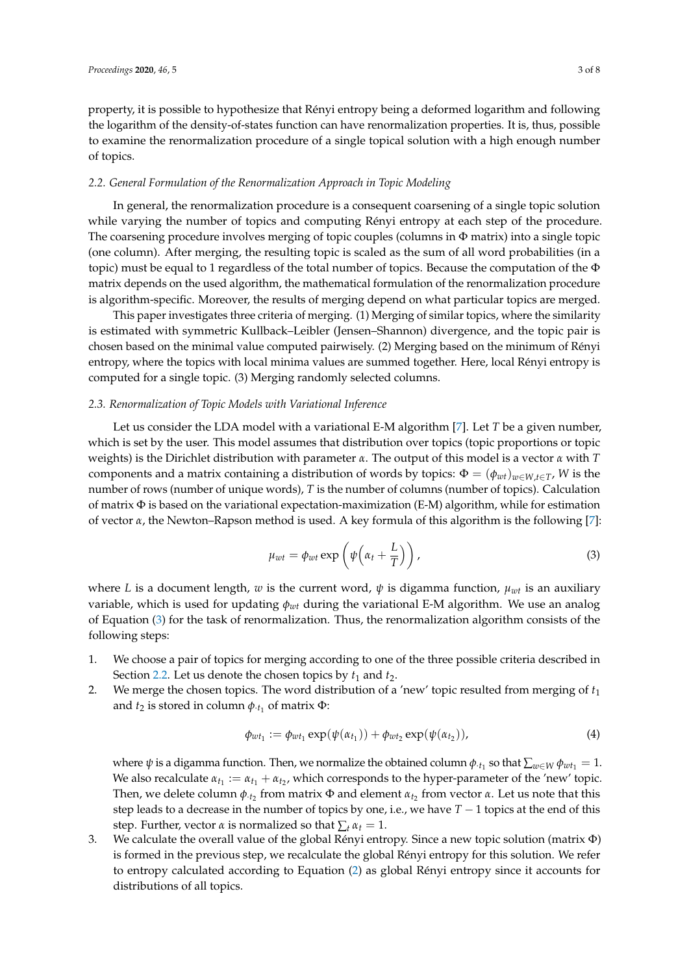property, it is possible to hypothesize that Rényi entropy being a deformed logarithm and following the logarithm of the density-of-states function can have renormalization properties. It is, thus, possible to examine the renormalization procedure of a single topical solution with a high enough number of topics.

## <span id="page-2-1"></span>*2.2. General Formulation of the Renormalization Approach in Topic Modeling*

In general, the renormalization procedure is a consequent coarsening of a single topic solution while varying the number of topics and computing Rényi entropy at each step of the procedure. The coarsening procedure involves merging of topic couples (columns in  $\Phi$  matrix) into a single topic (one column). After merging, the resulting topic is scaled as the sum of all word probabilities (in a topic) must be equal to 1 regardless of the total number of topics. Because the computation of the  $\Phi$ matrix depends on the used algorithm, the mathematical formulation of the renormalization procedure is algorithm-specific. Moreover, the results of merging depend on what particular topics are merged.

This paper investigates three criteria of merging. (1) Merging of similar topics, where the similarity is estimated with symmetric Kullback–Leibler (Jensen–Shannon) divergence, and the topic pair is chosen based on the minimal value computed pairwisely. (2) Merging based on the minimum of Rényi entropy, where the topics with local minima values are summed together. Here, local Rényi entropy is computed for a single topic. (3) Merging randomly selected columns.

## *2.3. Renormalization of Topic Models with Variational Inference*

Let us consider the LDA model with a variational E-M algorithm [\[7\]](#page-7-6). Let *T* be a given number, which is set by the user. This model assumes that distribution over topics (topic proportions or topic weights) is the Dirichlet distribution with parameter *α*. The output of this model is a vector *α* with *T* components and a matrix containing a distribution of words by topics:  $\Phi = (\phi_{wt})_{w \in W, t \in T}$ , *W* is the number of rows (number of unique words), *T* is the number of columns (number of topics). Calculation of matrix  $\Phi$  is based on the variational expectation-maximization (E-M) algorithm, while for estimation of vector *α*, the Newton–Rapson method is used. A key formula of this algorithm is the following [\[7\]](#page-7-6):

<span id="page-2-0"></span>
$$
\mu_{wt} = \phi_{wt} \exp\left(\psi\left(\alpha_t + \frac{L}{T}\right)\right),\tag{3}
$$

where *L* is a document length, *w* is the current word,  $\psi$  is digamma function,  $\mu_{wt}$  is an auxiliary variable, which is used for updating *φwt* during the variational E-M algorithm. We use an analog of Equation [\(3\)](#page-2-0) for the task of renormalization. Thus, the renormalization algorithm consists of the following steps:

- 1. We choose a pair of topics for merging according to one of the three possible criteria described in Section [2.2.](#page-2-1) Let us denote the chosen topics by  $t_1$  and  $t_2$ .
- 2. We merge the chosen topics. The word distribution of a 'new' topic resulted from merging of *t*<sup>1</sup> and  $t_2$  is stored in column  $\phi$ <sub>·*t*1</sub> of matrix  $\Phi$ :

$$
\phi_{wt_1} := \phi_{wt_1} \exp(\psi(\alpha_{t_1})) + \phi_{wt_2} \exp(\psi(\alpha_{t_2})), \tag{4}
$$

where  $\psi$  is a digamma function. Then, we normalize the obtained column  $\phi_{\cdot t_1}$  so that  $\sum_{w\in W}\phi_{wt_1}=1$ . We also recalculate  $\alpha_{t_1} := \alpha_{t_1} + \alpha_{t_2}$ , which corresponds to the hyper-parameter of the 'new' topic. Then, we delete column  $φ_{\cdot t_2}$  from matrix  $Φ$  and element  $α_{t_2}$  from vector  $α$ . Let us note that this step leads to a decrease in the number of topics by one, i.e., we have  $T - 1$  topics at the end of this step. Further, vector  $\alpha$  is normalized so that  $\sum_t \alpha_t = 1$ .

3. We calculate the overall value of the global Rényi entropy. Since a new topic solution (matrix Φ) is formed in the previous step, we recalculate the global Rényi entropy for this solution. We refer to entropy calculated according to Equation [\(2\)](#page-1-0) as global Rényi entropy since it accounts for distributions of all topics.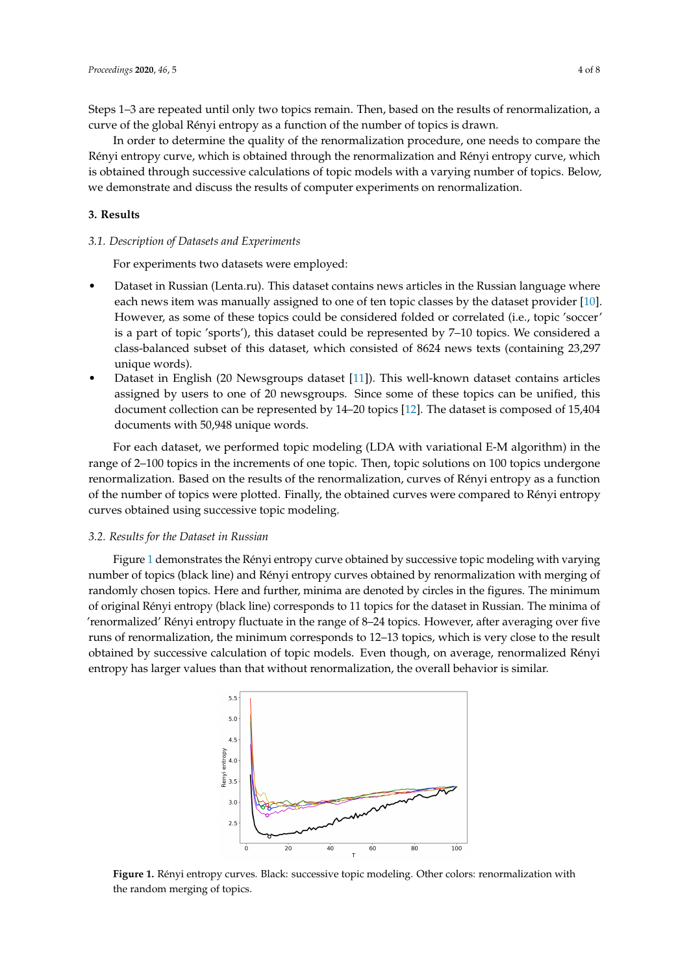Steps 1–3 are repeated until only two topics remain. Then, based on the results of renormalization, a curve of the global Rényi entropy as a function of the number of topics is drawn.

In order to determine the quality of the renormalization procedure, one needs to compare the Rényi entropy curve, which is obtained through the renormalization and Rényi entropy curve, which is obtained through successive calculations of topic models with a varying number of topics. Below, we demonstrate and discuss the results of computer experiments on renormalization.

## **3. Results**

#### *3.1. Description of Datasets and Experiments*

For experiments two datasets were employed:

- Dataset in Russian (Lenta.ru). This dataset contains news articles in the Russian language where each news item was manually assigned to one of ten topic classes by the dataset provider [\[10\]](#page-7-9). However, as some of these topics could be considered folded or correlated (i.e., topic 'soccer' is a part of topic 'sports'), this dataset could be represented by 7–10 topics. We considered a class-balanced subset of this dataset, which consisted of 8624 news texts (containing 23,297 unique words).
- Dataset in English (20 Newsgroups dataset [\[11\]](#page-7-10)). This well-known dataset contains articles assigned by users to one of 20 newsgroups. Since some of these topics can be unified, this document collection can be represented by 14–20 topics [\[12\]](#page-7-11). The dataset is composed of 15,404 documents with 50,948 unique words.

For each dataset, we performed topic modeling (LDA with variational E-M algorithm) in the range of 2–100 topics in the increments of one topic. Then, topic solutions on 100 topics undergone renormalization. Based on the results of the renormalization, curves of Rényi entropy as a function of the number of topics were plotted. Finally, the obtained curves were compared to Rényi entropy curves obtained using successive topic modeling.

## *3.2. Results for the Dataset in Russian*

Figure [1](#page-3-0) demonstrates the Rényi entropy curve obtained by successive topic modeling with varying number of topics (black line) and Rényi entropy curves obtained by renormalization with merging of randomly chosen topics. Here and further, minima are denoted by circles in the figures. The minimum of original Rényi entropy (black line) corresponds to 11 topics for the dataset in Russian. The minima of 'renormalized' Rényi entropy fluctuate in the range of 8–24 topics. However, after averaging over five runs of renormalization, the minimum corresponds to 12–13 topics, which is very close to the result obtained by successive calculation of topic models. Even though, on average, renormalized Rényi entropy has larger values than that without renormalization, the overall behavior is similar.

<span id="page-3-0"></span>

**Figure 1.** Rényi entropy curves. Black: successive topic modeling. Other colors: renormalization with the random merging of topics.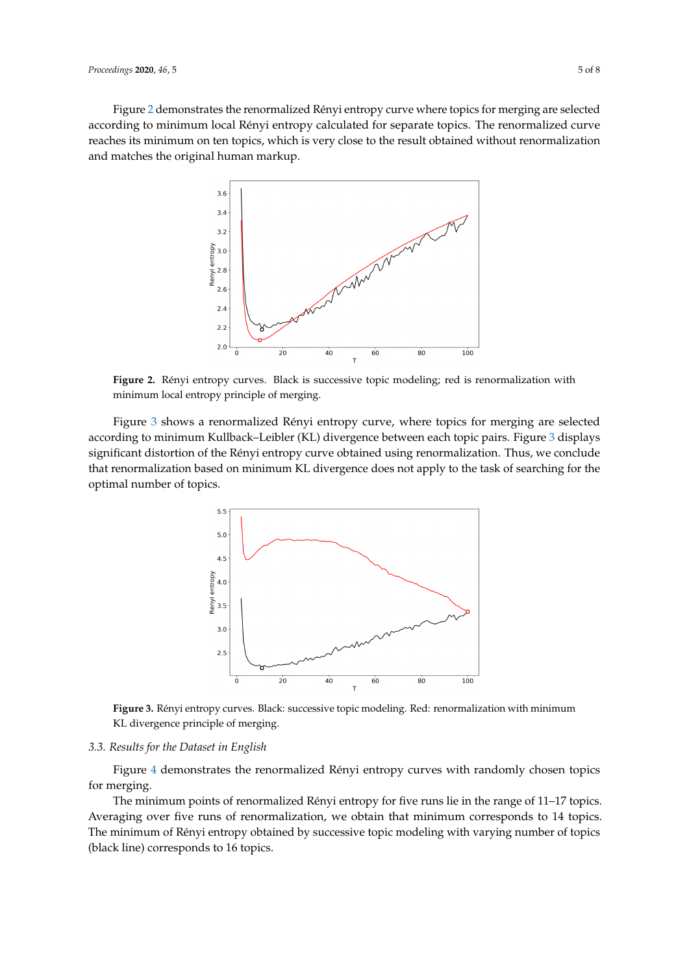<span id="page-4-0"></span>Figure [2](#page-4-0) demonstrates the renormalized Rényi entropy curve where topics for merging are selected according to minimum local Rényi entropy calculated for separate topics. The renormalized curve reaches its minimum on ten topics, which is very close to the result obtained without renormalization and matches the original human markup.



**Figure 2.** Rényi entropy curves. Black is successive topic modeling; red is renormalization with minimum local entropy principle of merging.

<span id="page-4-1"></span>Figure [3](#page-4-1) shows a renormalized Rényi entropy curve, where topics for merging are selected according to minimum Kullback–Leibler (KL) divergence between each topic pairs. Figure [3](#page-4-1) displays significant distortion of the Rényi entropy curve obtained using renormalization. Thus, we conclude that renormalization based on minimum KL divergence does not apply to the task of searching for the optimal number of topics.



**Figure 3.** Rényi entropy curves. Black: successive topic modeling. Red: renormalization with minimum KL divergence principle of merging.

#### *3.3. Results for the Dataset in English*

Figure [4](#page-5-0) demonstrates the renormalized Rényi entropy curves with randomly chosen topics for merging.

The minimum points of renormalized Rényi entropy for five runs lie in the range of 11–17 topics. Averaging over five runs of renormalization, we obtain that minimum corresponds to 14 topics. The minimum of Rényi entropy obtained by successive topic modeling with varying number of topics (black line) corresponds to 16 topics.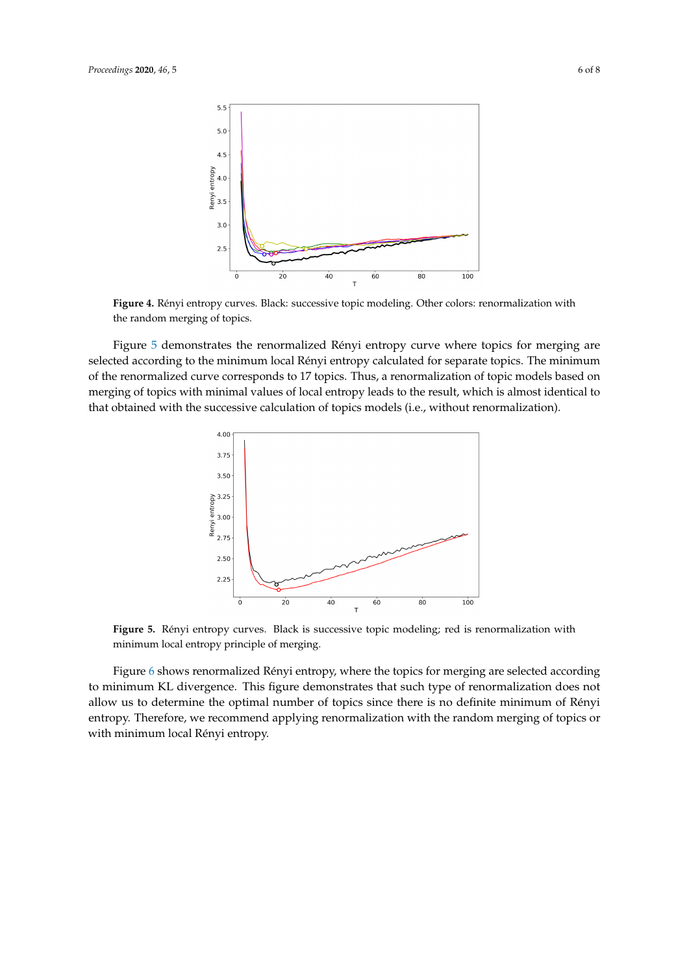<span id="page-5-0"></span>

**Figure 4.** Rényi entropy curves. Black: successive topic modeling. Other colors: renormalization with the random merging of topics.

<span id="page-5-1"></span>Figure [5](#page-5-1) demonstrates the renormalized Rényi entropy curve where topics for merging are selected according to the minimum local Rényi entropy calculated for separate topics. The minimum of the renormalized curve corresponds to 17 topics. Thus, a renormalization of topic models based on merging of topics with minimal values of local entropy leads to the result, which is almost identical to that obtained with the successive calculation of topics models (i.e., without renormalization).



**Figure 5.** Rényi entropy curves. Black is successive topic modeling; red is renormalization with minimum local entropy principle of merging.

Figure [6](#page-6-0) shows renormalized Rényi entropy, where the topics for merging are selected according to minimum KL divergence. This figure demonstrates that such type of renormalization does not allow us to determine the optimal number of topics since there is no definite minimum of Rényi entropy. Therefore, we recommend applying renormalization with the random merging of topics or with minimum local Rényi entropy.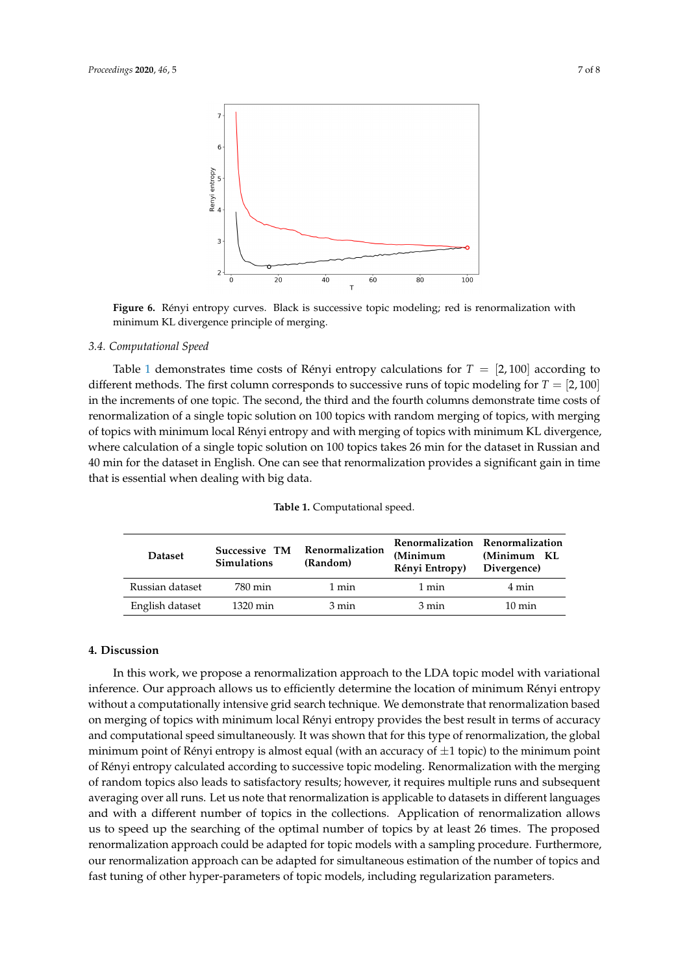<span id="page-6-0"></span>

**Figure 6.** Rényi entropy curves. Black is successive topic modeling; red is renormalization with minimum KL divergence principle of merging.

## *3.4. Computational Speed*

Table [1](#page-6-1) demonstrates time costs of Rényi entropy calculations for  $T = [2,100]$  according to different methods. The first column corresponds to successive runs of topic modeling for  $T = [2, 100]$ in the increments of one topic. The second, the third and the fourth columns demonstrate time costs of renormalization of a single topic solution on 100 topics with random merging of topics, with merging of topics with minimum local Rényi entropy and with merging of topics with minimum KL divergence, where calculation of a single topic solution on 100 topics takes 26 min for the dataset in Russian and 40 min for the dataset in English. One can see that renormalization provides a significant gain in time that is essential when dealing with big data.

<span id="page-6-1"></span>

| <b>Dataset</b>  | Successive TM<br><b>Simulations</b> | Renormalization<br>(Random) | (Minimum<br>Rényi Entropy) | Renormalization Renormalization<br>(Minimum KL<br>Divergence) |
|-----------------|-------------------------------------|-----------------------------|----------------------------|---------------------------------------------------------------|
| Russian dataset | 780 min                             | 1 min                       | 1 min                      | 4 min                                                         |
| English dataset | 1320 min                            | 3 min                       | 3 min                      | $10 \text{ min}$                                              |

#### **Table 1.** Computational speed.

## **4. Discussion**

In this work, we propose a renormalization approach to the LDA topic model with variational inference. Our approach allows us to efficiently determine the location of minimum Rényi entropy without a computationally intensive grid search technique. We demonstrate that renormalization based on merging of topics with minimum local Rényi entropy provides the best result in terms of accuracy and computational speed simultaneously. It was shown that for this type of renormalization, the global minimum point of Rényi entropy is almost equal (with an accuracy of  $\pm 1$  topic) to the minimum point of Rényi entropy calculated according to successive topic modeling. Renormalization with the merging of random topics also leads to satisfactory results; however, it requires multiple runs and subsequent averaging over all runs. Let us note that renormalization is applicable to datasets in different languages and with a different number of topics in the collections. Application of renormalization allows us to speed up the searching of the optimal number of topics by at least 26 times. The proposed renormalization approach could be adapted for topic models with a sampling procedure. Furthermore, our renormalization approach can be adapted for simultaneous estimation of the number of topics and fast tuning of other hyper-parameters of topic models, including regularization parameters.